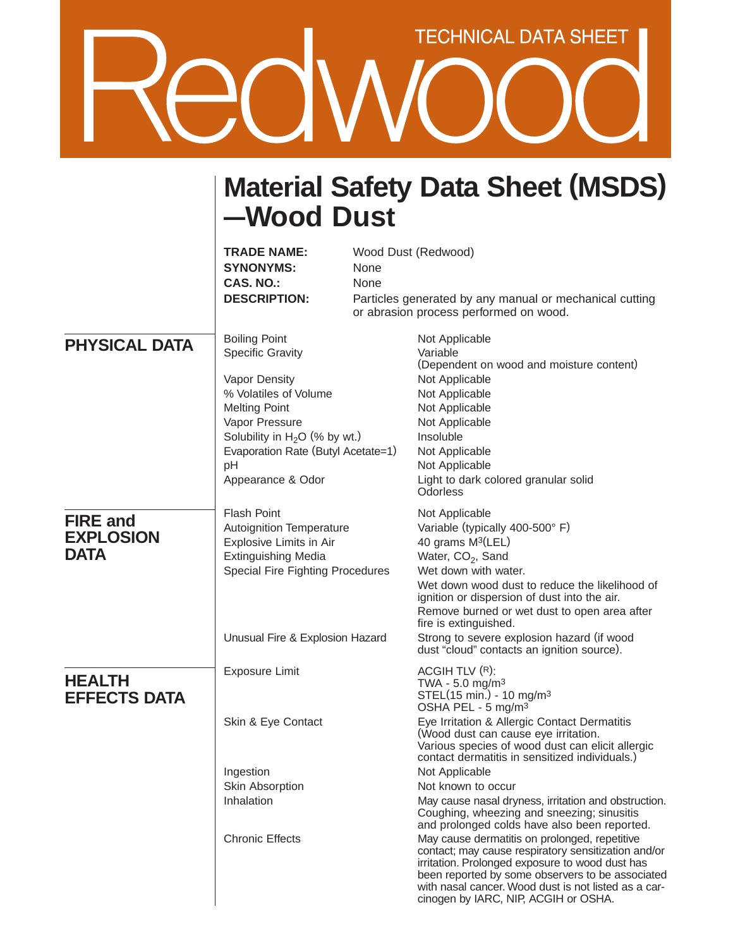## **TECHNICAL DATA SHEET**

## **Material Safety Data Sheet (MSDS) —Wood Dust**

|                                                    | <b>TRADE NAME:</b><br><b>SYNONYMS:</b><br><b>CAS. NO.:</b><br><b>DESCRIPTION:</b>                                                                                                                                                       | None<br>None | Wood Dust (Redwood)<br>Particles generated by any manual or mechanical cutting<br>or abrasion process performed on wood.                                                                                                                                                                                                                                                                                                                                                                                                                                                                                                                                                                                                                                                                                                              |
|----------------------------------------------------|-----------------------------------------------------------------------------------------------------------------------------------------------------------------------------------------------------------------------------------------|--------------|---------------------------------------------------------------------------------------------------------------------------------------------------------------------------------------------------------------------------------------------------------------------------------------------------------------------------------------------------------------------------------------------------------------------------------------------------------------------------------------------------------------------------------------------------------------------------------------------------------------------------------------------------------------------------------------------------------------------------------------------------------------------------------------------------------------------------------------|
| <b>PHYSICAL DATA</b>                               | <b>Boiling Point</b><br><b>Specific Gravity</b><br>Vapor Density<br>% Volatiles of Volume<br><b>Melting Point</b><br>Vapor Pressure<br>Solubility in $H_2O$ (% by wt.)<br>Evaporation Rate (Butyl Acetate=1)<br>pH<br>Appearance & Odor |              | Not Applicable<br>Variable<br>(Dependent on wood and moisture content)<br>Not Applicable<br>Not Applicable<br>Not Applicable<br>Not Applicable<br>Insoluble<br>Not Applicable<br>Not Applicable<br>Light to dark colored granular solid<br>Odorless                                                                                                                                                                                                                                                                                                                                                                                                                                                                                                                                                                                   |
| <b>FIRE and</b><br><b>EXPLOSION</b><br><b>DATA</b> | <b>Flash Point</b><br>Autoignition Temperature<br>Explosive Limits in Air<br><b>Extinguishing Media</b><br>Special Fire Fighting Procedures<br>Unusual Fire & Explosion Hazard                                                          |              | Not Applicable<br>Variable (typically 400-500° F)<br>40 grams M <sup>3</sup> (LEL)<br>Water, CO <sub>2</sub> , Sand<br>Wet down with water.<br>Wet down wood dust to reduce the likelihood of<br>ignition or dispersion of dust into the air.<br>Remove burned or wet dust to open area after<br>fire is extinguished.<br>Strong to severe explosion hazard (if wood<br>dust "cloud" contacts an ignition source).                                                                                                                                                                                                                                                                                                                                                                                                                    |
| <b>HEALTH</b><br><b>EFFECTS DATA</b>               | <b>Exposure Limit</b><br>Skin & Eye Contact<br>Ingestion<br>Skin Absorption<br>Inhalation<br><b>Chronic Effects</b>                                                                                                                     |              | ACGIH TLV $(R)$ :<br>TWA - 5.0 mg/m <sup>3</sup><br>STEL(15 min.) - 10 mg/m <sup>3</sup><br>OSHA PEL - 5 mg/m <sup>3</sup><br>Eye Irritation & Allergic Contact Dermatitis<br>(Wood dust can cause eye irritation.<br>Various species of wood dust can elicit allergic<br>contact dermatitis in sensitized individuals.)<br>Not Applicable<br>Not known to occur<br>May cause nasal dryness, irritation and obstruction.<br>Coughing, wheezing and sneezing; sinusitis<br>and prolonged colds have also been reported.<br>May cause dermatitis on prolonged, repetitive<br>contact; may cause respiratory sensitization and/or<br>irritation. Prolonged exposure to wood dust has<br>been reported by some observers to be associated<br>with nasal cancer. Wood dust is not listed as a car-<br>cinogen by IARC, NIP, ACGIH or OSHA. |